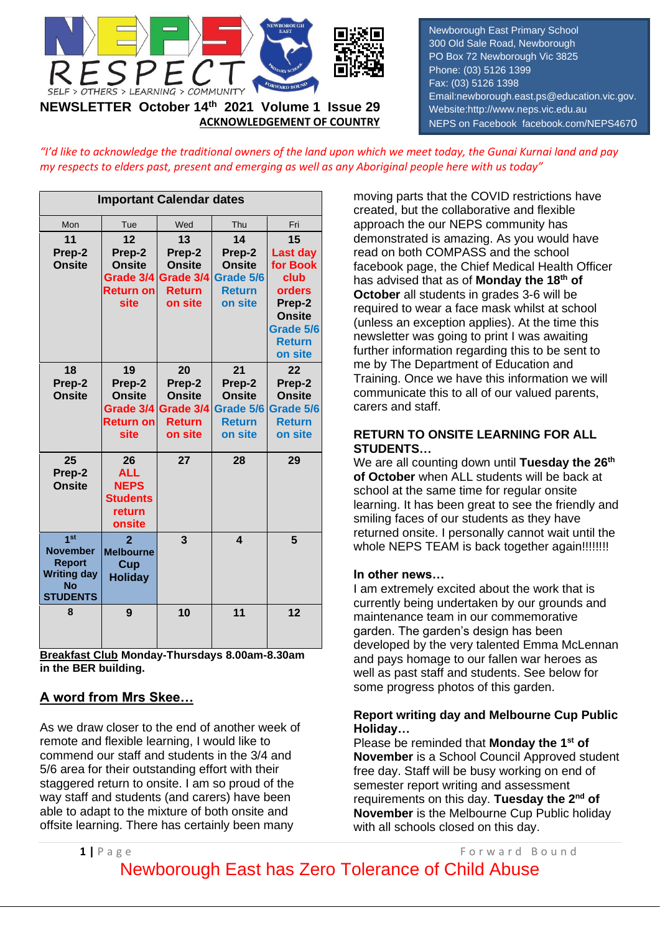

**ACKNOWLEDGEMENT OF COUNTRY**

Newborough East Primary School 300 Old Sale Road, Newborough PO Box 72 Newborough Vic 3825 Phone: (03) 5126 1399 Fax: (03) 5126 1398 Email:newborough.east.ps@education.vic.gov. Website:http://www.neps.vic.edu.au NEPS on Facebook facebook.com/NEPS4670

*"I'd like to acknowledge the traditional owners of the land upon which we meet today, the Gunai Kurnai land and pay my respects to elders past, present and emerging as well as any Aboriginal people here with us today"*

| <b>Important Calendar dates</b>                                                                           |                                                                        |                                                                        |                                                                        |                                                                                                                  |  |  |
|-----------------------------------------------------------------------------------------------------------|------------------------------------------------------------------------|------------------------------------------------------------------------|------------------------------------------------------------------------|------------------------------------------------------------------------------------------------------------------|--|--|
| Mon                                                                                                       | Tue                                                                    | Wed                                                                    | Thu                                                                    | Fri                                                                                                              |  |  |
| 11<br>Prep-2<br><b>Onsite</b>                                                                             | 12<br>Prep-2<br><b>Onsite</b><br>Grade 3/4<br><b>Return on</b><br>site | 13<br>Prep-2<br><b>Onsite</b><br>Grade 3/4<br><b>Return</b><br>on site | 14<br>Prep-2<br><b>Onsite</b><br>Grade 5/6<br><b>Return</b><br>on site | 15<br>Last day<br>for Book<br>club<br>orders<br>Prep-2<br><b>Onsite</b><br>Grade 5/6<br><b>Return</b><br>on site |  |  |
| 18<br>Prep-2<br><b>Onsite</b>                                                                             | 19<br>Prep-2<br><b>Onsite</b><br>Grade 3/4<br><b>Return on</b><br>site | 20<br>Prep-2<br><b>Onsite</b><br>Grade 3/4<br><b>Return</b><br>on site | 21<br>Prep-2<br>Onsite<br>Grade 5/6<br><b>Return</b><br>on site        | 22<br>Prep-2<br><b>Onsite</b><br>Grade 5/6<br><b>Return</b><br>on site                                           |  |  |
| 25<br>Prep-2<br><b>Onsite</b>                                                                             | 26<br><b>ALL</b><br><b>NEPS</b><br><b>Students</b><br>return<br>onsite | 27                                                                     | 28                                                                     | 29                                                                                                               |  |  |
| 1 <sub>st</sub><br><b>November</b><br><b>Report</b><br><b>Writing day</b><br><b>No</b><br><b>STUDENTS</b> | $\overline{2}$<br><b>Melbourne</b><br>Cup<br><b>Holiday</b>            | 3                                                                      | $\boldsymbol{4}$                                                       | 5                                                                                                                |  |  |
| 8                                                                                                         | 9                                                                      | 10                                                                     | 11                                                                     | 12                                                                                                               |  |  |

**Breakfast Club Monday-Thursdays 8.00am-8.30am in the BER building.**

## **A word from Mrs Skee…**

As we draw closer to the end of another week of remote and flexible learning, I would like to commend our staff and students in the 3/4 and 5/6 area for their outstanding effort with their staggered return to onsite. I am so proud of the way staff and students (and carers) have been able to adapt to the mixture of both onsite and offsite learning. There has certainly been many

moving parts that the COVID restrictions have created, but the collaborative and flexible approach the our NEPS community has demonstrated is amazing. As you would have read on both COMPASS and the school facebook page, the Chief Medical Health Officer has advised that as of **Monday the 18th of October** all students in grades 3-6 will be required to wear a face mask whilst at school (unless an exception applies). At the time this newsletter was going to print I was awaiting further information regarding this to be sent to me by The Department of Education and Training. Once we have this information we will communicate this to all of our valued parents, carers and staff.

#### **RETURN TO ONSITE LEARNING FOR ALL STUDENTS…**

We are all counting down until **Tuesday the 26th of October** when ALL students will be back at school at the same time for regular onsite learning. It has been great to see the friendly and smiling faces of our students as they have returned onsite. I personally cannot wait until the whole NEPS TEAM is back together again!!!!!!!!!

### **In other news…**

I am extremely excited about the work that is currently being undertaken by our grounds and maintenance team in our commemorative garden. The garden's design has been developed by the very talented Emma McLennan and pays homage to our fallen war heroes as well as past staff and students. See below for some progress photos of this garden.

### **Report writing day and Melbourne Cup Public Holiday…**

Please be reminded that **Monday the 1st of November** is a School Council Approved student free day. Staff will be busy working on end of semester report writing and assessment requirements on this day. **Tuesday the 2nd of November** is the Melbourne Cup Public holiday with all schools closed on this day.

**1** | P a g e F o r w a r d B o u n d